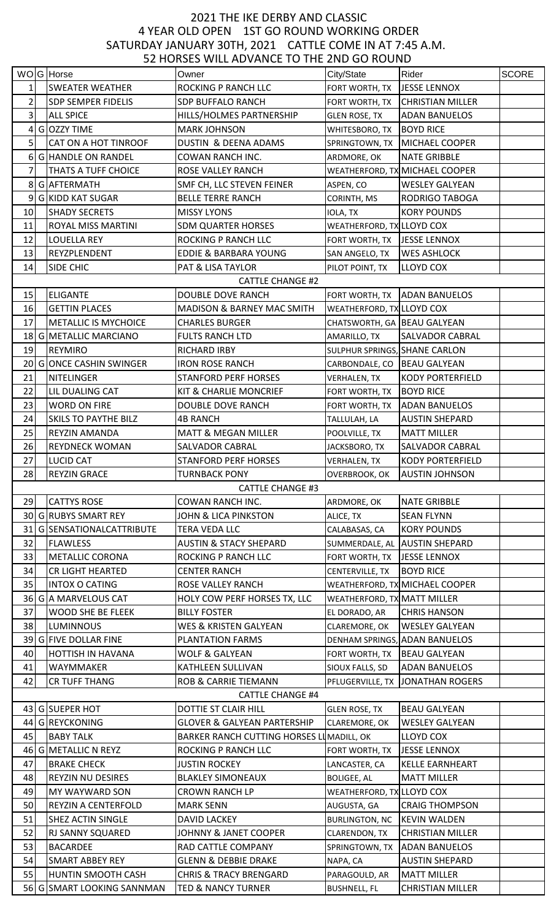## 4 YEAR OLD OPEN 1ST GO ROUND WORKING ORDER SATURDAY JANUARY 30TH, 2021 CATTLE COME IN AT 7:45 A.M. 2021 THE IKE DERBY AND CLASSIC 52 HORSES WILL ADVANCE TO THE 2ND GO ROUND

|                |                             | <u>JE HUNJEJ WIEL ADVANCE TU THE ZND UU NUUND</u> |                               |                                  |              |
|----------------|-----------------------------|---------------------------------------------------|-------------------------------|----------------------------------|--------------|
|                | WOG Horse                   | Owner                                             | City/State                    | Rider                            | <b>SCORE</b> |
|                | <b>SWEATER WEATHER</b>      | <b>ROCKING P RANCH LLC</b>                        | FORT WORTH, TX   JESSE LENNOX |                                  |              |
| 2              | <b>SDP SEMPER FIDELIS</b>   | <b>SDP BUFFALO RANCH</b>                          |                               | FORT WORTH, TX CHRISTIAN MILLER  |              |
| 3              | <b>ALL SPICE</b>            | HILLS/HOLMES PARTNERSHIP                          | <b>GLEN ROSE, TX</b>          | <b>ADAN BANUELOS</b>             |              |
| 4              | G OZZY TIME                 | <b>MARK JOHNSON</b>                               | WHITESBORO, TX BOYD RICE      |                                  |              |
| 5              | CAT ON A HOT TINROOF        | DUSTIN & DEENA ADAMS                              |                               | SPRINGTOWN, TX   MICHAEL COOPER  |              |
| 6 <sup>1</sup> | G HANDLE ON RANDEL          | COWAN RANCH INC.                                  | ARDMORE, OK                   | <b>NATE GRIBBLE</b>              |              |
|                | THATS A TUFF CHOICE         | ROSE VALLEY RANCH                                 |                               | WEATHERFORD, TX MICHAEL COOPER   |              |
| 8              | G AFTERMATH                 | SMF CH, LLC STEVEN FEINER                         | ASPEN, CO                     | <b>WESLEY GALYEAN</b>            |              |
| 9              | <b>G KIDD KAT SUGAR</b>     | <b>BELLE TERRE RANCH</b>                          |                               | <b>RODRIGO TABOGA</b>            |              |
|                |                             |                                                   | CORINTH, MS                   |                                  |              |
| 10             | <b>SHADY SECRETS</b>        | <b>MISSY LYONS</b>                                | IOLA, TX                      | <b>KORY POUNDS</b>               |              |
| 11             | ROYAL MISS MARTINI          | <b>SDM QUARTER HORSES</b>                         | WEATHERFORD, TX LLOYD COX     |                                  |              |
| 12             | <b>LOUELLA REY</b>          | ROCKING P RANCH LLC                               | FORT WORTH, TX JESSE LENNOX   |                                  |              |
| 13             | REYZPLENDENT                | <b>EDDIE &amp; BARBARA YOUNG</b>                  | SAN ANGELO, TX                | <b>WES ASHLOCK</b>               |              |
| 14             | SIDE CHIC                   | PAT & LISA TAYLOR                                 | PILOT POINT, TX               | LLOYD COX                        |              |
|                |                             | <b>CATTLE CHANGE #2</b>                           |                               |                                  |              |
| 15             | <b>ELIGANTE</b>             | <b>DOUBLE DOVE RANCH</b>                          |                               | FORT WORTH, TX ADAN BANUELOS     |              |
| 16             | <b>GETTIN PLACES</b>        | MADISON & BARNEY MAC SMITH                        | WEATHERFORD, TX LLOYD COX     |                                  |              |
| 17             | <b>METALLIC IS MYCHOICE</b> | <b>CHARLES BURGER</b>                             | CHATSWORTH, GA BEAU GALYEAN   |                                  |              |
|                | 18 G METALLIC MARCIANO      | <b>FULTS RANCH LTD</b>                            | AMARILLO, TX                  | <b>SALVADOR CABRAL</b>           |              |
| 19             | <b>REYMIRO</b>              | <b>RICHARD IRBY</b>                               | SULPHUR SPRINGS, SHANE CARLON |                                  |              |
| 20             | <b>GONCE CASHIN SWINGER</b> | <b>IRON ROSE RANCH</b>                            | CARBONDALE, CO   BEAU GALYEAN |                                  |              |
| 21             | <b>NITELINGER</b>           | <b>STANFORD PERF HORSES</b>                       | <b>VERHALEN, TX</b>           | <b>KODY PORTERFIELD</b>          |              |
| 22             | LIL DUALING CAT             | <b>KIT &amp; CHARLIE MONCRIEF</b>                 | FORT WORTH, TX                | <b>BOYD RICE</b>                 |              |
| 23             | <b>WORD ON FIRE</b>         | DOUBLE DOVE RANCH                                 | FORT WORTH, TX                | <b>ADAN BANUELOS</b>             |              |
| 24             | <b>SKILS TO PAYTHE BILZ</b> | <b>4B RANCH</b>                                   | TALLULAH, LA                  | <b>AUSTIN SHEPARD</b>            |              |
| 25             | REYZIN AMANDA               | <b>MATT &amp; MEGAN MILLER</b>                    | POOLVILLE, TX                 | <b>MATT MILLER</b>               |              |
| 26             | <b>REYDNECK WOMAN</b>       | <b>SALVADOR CABRAL</b>                            |                               | <b>SALVADOR CABRAL</b>           |              |
|                |                             |                                                   | JACKSBORO, TX                 |                                  |              |
| 27             | <b>LUCID CAT</b>            | <b>STANFORD PERF HORSES</b>                       | <b>VERHALEN, TX</b>           | <b>KODY PORTERFIELD</b>          |              |
| 28             | <b>REYZIN GRACE</b>         | <b>TURNBACK PONY</b>                              |                               | OVERBROOK, OK   AUSTIN JOHNSON   |              |
|                |                             | <b>CATTLE CHANGE #3</b>                           |                               |                                  |              |
| 29             | <b>CATTYS ROSE</b>          | COWAN RANCH INC.                                  | ARDMORE, OK                   | <b>NATE GRIBBLE</b>              |              |
|                | 30 G RUBYS SMART REY        | JOHN & LICA PINKSTON                              | ALICE, TX                     | <b>SEAN FLYNN</b>                |              |
| 31             | G SENSATIONALCATTRIBUTE     | TERA VEDA LLC                                     | CALABASAS, CA                 | <b>KORY POUNDS</b>               |              |
| 32             | <b>FLAWLESS</b>             | <b>AUSTIN &amp; STACY SHEPARD</b>                 |                               | SUMMERDALE, AL AUSTIN SHEPARD    |              |
| 33             | <b>METALLIC CORONA</b>      | ROCKING P RANCH LLC                               | FORT WORTH, TX   JESSE LENNOX |                                  |              |
| 34             | CR LIGHT HEARTED            | <b>CENTER RANCH</b>                               | CENTERVILLE, TX               | <b>BOYD RICE</b>                 |              |
| 35             | <b>INTOX O CATING</b>       | <b>ROSE VALLEY RANCH</b>                          |                               | WEATHERFORD, TX MICHAEL COOPER   |              |
| 36             | G A MARVELOUS CAT           | HOLY COW PERF HORSES TX, LLC                      | WEATHERFORD, TX MATT MILLER   |                                  |              |
| 37             | <b>WOOD SHE BE FLEEK</b>    | <b>BILLY FOSTER</b>                               | EL DORADO, AR                 | <b>CHRIS HANSON</b>              |              |
| 38             | <b>LUMINNOUS</b>            | WES & KRISTEN GALYEAN                             | CLAREMORE, OK                 | <b>WESLEY GALYEAN</b>            |              |
|                | 39 G FIVE DOLLAR FINE       | <b>PLANTATION FARMS</b>                           |                               | DENHAM SPRINGS, ADAN BANUELOS    |              |
| 40             | HOTTISH IN HAVANA           | WOLF & GALYEAN                                    | FORT WORTH, TX   BEAU GALYEAN |                                  |              |
| 41             | WAYMMAKER                   | KATHLEEN SULLIVAN                                 | SIOUX FALLS, SD               | <b>ADAN BANUELOS</b>             |              |
| 42             | <b>CR TUFF THANG</b>        | <b>ROB &amp; CARRIE TIEMANN</b>                   |                               | PFLUGERVILLE, TX JONATHAN ROGERS |              |
|                |                             | <b>CATTLE CHANGE #4</b>                           |                               |                                  |              |
|                | 43 G SUEPER HOT             | DOTTIE ST CLAIR HILL                              |                               | <b>BEAU GALYEAN</b>              |              |
|                | 44 G REYCKONING             | <b>GLOVER &amp; GALYEAN PARTERSHIP</b>            | <b>GLEN ROSE, TX</b>          | <b>WESLEY GALYEAN</b>            |              |
|                |                             |                                                   | CLAREMORE, OK                 |                                  |              |
| 45             | <b>BABY TALK</b>            | BARKER RANCH CUTTING HORSES LUMADILL, OK          |                               | <b>LLOYD COX</b>                 |              |
|                | 46 G METALLIC N REYZ        | <b>ROCKING P RANCH LLC</b>                        | FORT WORTH, TX   JESSE LENNOX |                                  |              |
| 47             | <b>BRAKE CHECK</b>          | <b>JUSTIN ROCKEY</b>                              | LANCASTER, CA                 | <b>KELLE EARNHEART</b>           |              |
| 48             | REYZIN NU DESIRES           | <b>BLAKLEY SIMONEAUX</b>                          | <b>BOLIGEE, AL</b>            | <b>MATT MILLER</b>               |              |
| 49             | MY WAYWARD SON              | <b>CROWN RANCH LP</b>                             | WEATHERFORD, TX LLOYD COX     |                                  |              |
| 50             | REYZIN A CENTERFOLD         | <b>MARK SENN</b>                                  | AUGUSTA, GA                   | <b>CRAIG THOMPSON</b>            |              |
|                |                             |                                                   |                               |                                  |              |
| 51             | SHEZ ACTIN SINGLE           | <b>DAVID LACKEY</b>                               | BURLINGTON, NC KEVIN WALDEN   |                                  |              |
| 52             | RJ SANNY SQUARED            | JOHNNY & JANET COOPER                             | CLARENDON, TX                 | <b>CHRISTIAN MILLER</b>          |              |
| 53             | <b>BACARDEE</b>             | <b>RAD CATTLE COMPANY</b>                         |                               | SPRINGTOWN, TX ADAN BANUELOS     |              |
| 54             | <b>SMART ABBEY REY</b>      | <b>GLENN &amp; DEBBIE DRAKE</b>                   | NAPA, CA                      | <b>AUSTIN SHEPARD</b>            |              |
| 55             | HUNTIN SMOOTH CASH          | <b>CHRIS &amp; TRACY BRENGARD</b>                 | PARAGOULD, AR                 | <b>MATT MILLER</b>               |              |